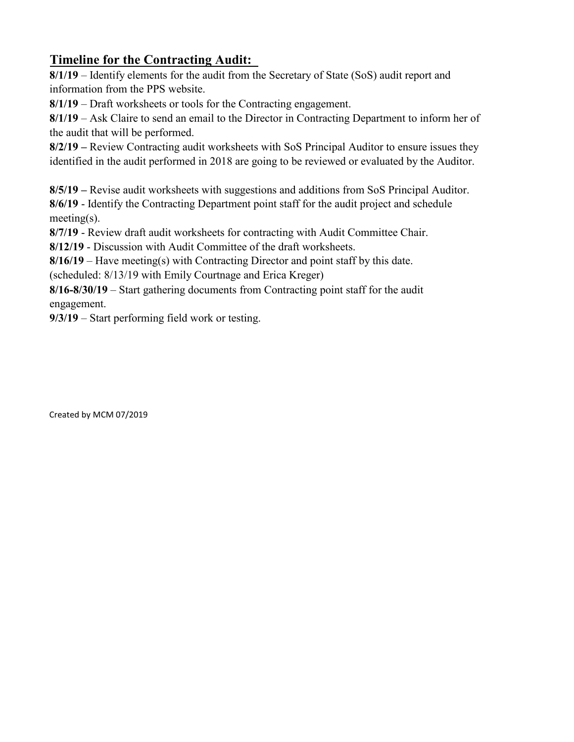## **Timeline for the Contracting Audit:**

**8/1/19** – Identify elements for the audit from the Secretary of State (SoS) audit report and information from the PPS website.

**8/1/19** – Draft worksheets or tools for the Contracting engagement.

**8/1/19** – Ask Claire to send an email to the Director in Contracting Department to inform her of the audit that will be performed.

**8/2/19 –** Review Contracting audit worksheets with SoS Principal Auditor to ensure issues they identified in the audit performed in 2018 are going to be reviewed or evaluated by the Auditor.

**8/5/19 –** Revise audit worksheets with suggestions and additions from SoS Principal Auditor.

**8/6/19** - Identify the Contracting Department point staff for the audit project and schedule meeting(s).

**8/7/19** - Review draft audit worksheets for contracting with Audit Committee Chair.

**8/12/19** - Discussion with Audit Committee of the draft worksheets.

**8/16/19** – Have meeting(s) with Contracting Director and point staff by this date.

(scheduled: 8/13/19 with Emily Courtnage and Erica Kreger)

**8/16-8/30/19** – Start gathering documents from Contracting point staff for the audit engagement.

**9/3/19** – Start performing field work or testing.

Created by MCM 07/2019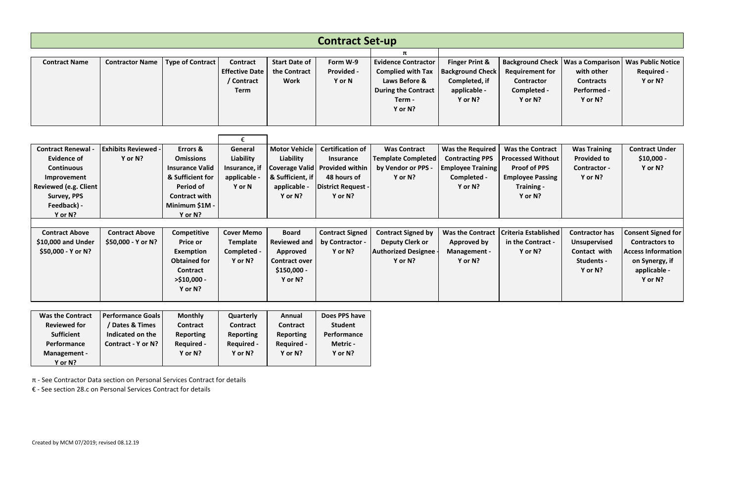| <b>Contract Set-up</b>                                                                                                                                            |                                                                                |                                                                                                                                                         |                                                                           |                                                                                                           |                                                                                                                                        |                                                                                                                            |                                                                                                         |                                                                                                                                |                                                                                                          |                                                                                                                              |
|-------------------------------------------------------------------------------------------------------------------------------------------------------------------|--------------------------------------------------------------------------------|---------------------------------------------------------------------------------------------------------------------------------------------------------|---------------------------------------------------------------------------|-----------------------------------------------------------------------------------------------------------|----------------------------------------------------------------------------------------------------------------------------------------|----------------------------------------------------------------------------------------------------------------------------|---------------------------------------------------------------------------------------------------------|--------------------------------------------------------------------------------------------------------------------------------|----------------------------------------------------------------------------------------------------------|------------------------------------------------------------------------------------------------------------------------------|
|                                                                                                                                                                   |                                                                                |                                                                                                                                                         |                                                                           |                                                                                                           |                                                                                                                                        | π                                                                                                                          |                                                                                                         |                                                                                                                                |                                                                                                          |                                                                                                                              |
| <b>Contract Name</b>                                                                                                                                              | <b>Contractor Name</b>                                                         | <b>Type of Contract</b>                                                                                                                                 | <b>Contract</b><br><b>Effective Date</b><br>/ Contract<br><b>Term</b>     | <b>Start Date of</b><br>the Contract<br><b>Work</b>                                                       | Form W-9<br><b>Provided -</b><br>Y or N                                                                                                | <b>Evidence Contractor</b><br><b>Complied with Tax</b><br>Laws Before &<br><b>During the Contract</b><br>Term -<br>Y or N? | <b>Finger Print &amp;</b><br><b>Background Check</b><br>Completed, if<br>applicable -<br>Y or N?        | <b>Requirement for</b><br><b>Contractor</b><br>Completed -<br>Y or N?                                                          | <b>Background Check   Was a Comparison  </b><br>with other<br><b>Contracts</b><br>Performed -<br>Y or N? | <b>Was Public Notice</b><br><b>Required -</b><br>Y or N?                                                                     |
| €                                                                                                                                                                 |                                                                                |                                                                                                                                                         |                                                                           |                                                                                                           |                                                                                                                                        |                                                                                                                            |                                                                                                         |                                                                                                                                |                                                                                                          |                                                                                                                              |
| <b>Contract Renewal</b><br><b>Evidence of</b><br><b>Continuous</b><br>Improvement<br><b>Reviewed (e.g. Client</b><br><b>Survey, PPS</b><br>Feedback) -<br>Y or N? | <b>Exhibits Reviewed -</b><br>Y or N?                                          | <b>Errors &amp;</b><br><b>Omissions</b><br><b>Insurance Valid</b><br>& Sufficient for<br>Period of<br><b>Contract with</b><br>Minimum \$1M -<br>Y or N? | General<br>Liability<br>Insurance, if<br>applicable -<br>Y or N           | <b>Motor Vehicle</b><br>Liability<br>& Sufficient, if<br>applicable -<br>Y or N?                          | <b>Certification of</b><br><b>Insurance</b><br>Coverage Valid   Provided within<br>48 hours of<br><b>District Request -</b><br>Y or N? | <b>Was Contract</b><br><b>Template Completed</b><br>by Vendor or PPS -<br>Y or N?                                          | <b>Was the Required</b><br><b>Contracting PPS</b><br><b>Employee Training</b><br>Completed -<br>Y or N? | <b>Was the Contract</b><br><b>Processed Without</b><br><b>Proof of PPS</b><br><b>Employee Passing</b><br>Training -<br>Y or N? | <b>Was Training</b><br><b>Provided to</b><br>Contractor -<br>Y or N?                                     | <b>Contract Under</b><br>$$10,000 -$<br>Y or N?                                                                              |
|                                                                                                                                                                   |                                                                                |                                                                                                                                                         |                                                                           |                                                                                                           |                                                                                                                                        |                                                                                                                            |                                                                                                         |                                                                                                                                |                                                                                                          |                                                                                                                              |
| <b>Contract Above</b><br>\$10,000 and Under<br>\$50,000 - Y or N?                                                                                                 | <b>Contract Above</b><br>\$50,000 - Y or N?                                    | Competitive<br><b>Price or</b><br>Exemption<br><b>Obtained for</b><br>Contract<br>$>$ \$10,000 -<br>Y or N?                                             | <b>Cover Memo</b><br><b>Template</b><br>Completed -<br>Y or N?            | <b>Board</b><br><b>Reviewed and</b><br><b>Approved</b><br><b>Contract over</b><br>$$150,000 -$<br>Y or N? | <b>Contract Signed</b><br>by Contractor -<br>Y or N?                                                                                   | <b>Contract Signed by</b><br><b>Deputy Clerk or</b><br><b>Authorized Designee -</b><br>Y or N?                             | <b>Was the Contract</b><br><b>Approved by</b><br>Management -<br>Y or N?                                | Criteria Established<br>in the Contract -<br>Y or N?                                                                           | <b>Contractor has</b><br><b>Unsupervised</b><br>Contact with<br>Students -<br>Y or N?                    | <b>Consent Signed for</b><br><b>Contractors to</b><br><b>Access Information</b><br>on Synergy, if<br>applicable -<br>Y or N? |
|                                                                                                                                                                   |                                                                                |                                                                                                                                                         |                                                                           |                                                                                                           |                                                                                                                                        |                                                                                                                            |                                                                                                         |                                                                                                                                |                                                                                                          |                                                                                                                              |
| <b>Was the Contract</b><br><b>Reviewed for</b><br><b>Sufficient</b><br>Performance<br>Management -<br>Y or N?                                                     | Performance Goals<br>/ Dates & Times<br>Indicated on the<br>Contract - Y or N? | <b>Monthly</b><br>Contract<br><b>Reporting</b><br><b>Required -</b><br>Y or N?                                                                          | Quarterly<br>Contract<br><b>Reporting</b><br><b>Required -</b><br>Y or N? | Annual<br>Contract<br><b>Reporting</b><br><b>Required -</b><br>Y or N?                                    | Does PPS have<br><b>Student</b><br>Performance<br>Metric -<br>Y or N?                                                                  |                                                                                                                            |                                                                                                         |                                                                                                                                |                                                                                                          |                                                                                                                              |

π - See Contractor Data section on Personal Services Contract for details

€ - See section 28.c on Personal Services Contract for details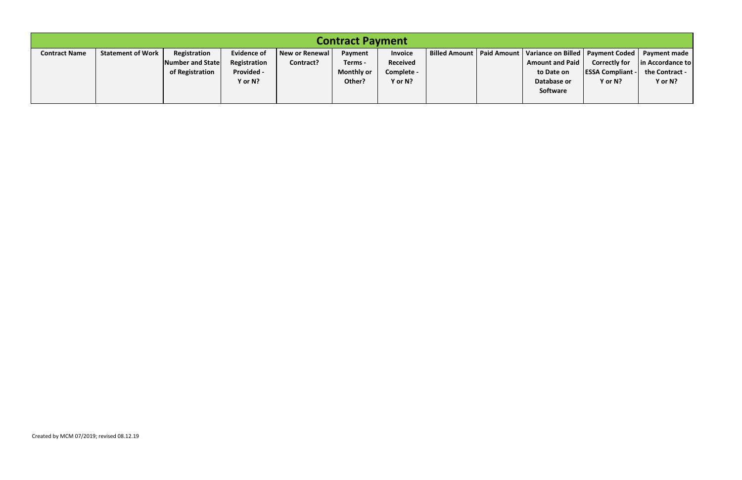| <b>Contract Payment</b> |                          |                  |                    |                |                   |                 |  |  |                                                                  |                         |                  |
|-------------------------|--------------------------|------------------|--------------------|----------------|-------------------|-----------------|--|--|------------------------------------------------------------------|-------------------------|------------------|
| <b>Contract Name</b>    | <b>Statement of Work</b> | Registration     | <b>Evidence of</b> | New or Renewal | Payment           | <b>Invoice</b>  |  |  | Billed Amount   Paid Amount   Variance on Billed   Payment Coded |                         | Payment made     |
|                         |                          | Number and State | Registration       | Contract?      | Terms -           | <b>Received</b> |  |  | <b>Amount and Paid</b>                                           | <b>Correctly for</b>    | in Accordance to |
|                         |                          | of Registration  | Provided -         |                | <b>Monthly or</b> | Complete -      |  |  | to Date on                                                       | <b>ESSA Compliant -</b> | the Contract -   |
|                         |                          |                  | Y or N?            |                | Other?            | Y or N?         |  |  | Database or                                                      | Y or N?                 | Y or N?          |
|                         |                          |                  |                    |                |                   |                 |  |  | Software                                                         |                         |                  |
|                         |                          |                  |                    |                |                   |                 |  |  |                                                                  |                         |                  |